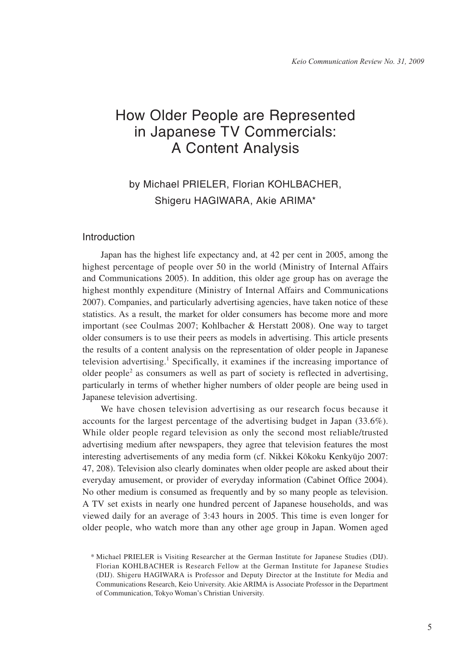# How Older People are Represented in Japanese TV Commercials: A Content Analysis

## by Michael PRIELER, Florian KOHLBACHER, Shigeru HAGIWARA, Akie ARIMA\*

### Introduction

Japan has the highest life expectancy and, at 42 per cent in 2005, among the highest percentage of people over 50 in the world (Ministry of Internal Affairs and Communications 2005). In addition, this older age group has on average the highest monthly expenditure (Ministry of Internal Affairs and Communications 2007). Companies, and particularly advertising agencies, have taken notice of these statistics. As a result, the market for older consumers has become more and more important (see Coulmas 2007; Kohlbacher & Herstatt 2008). One way to target older consumers is to use their peers as models in advertising. This article presents the results of a content analysis on the representation of older people in Japanese television advertising.<sup>1</sup> Specifically, it examines if the increasing importance of older people<sup>2</sup> as consumers as well as part of society is reflected in advertising, particularly in terms of whether higher numbers of older people are being used in Japanese television advertising.

We have chosen television advertising as our research focus because it accounts for the largest percentage of the advertising budget in Japan (33.6%). While older people regard television as only the second most reliable/trusted advertising medium after newspapers, they agree that television features the most interesting advertisements of any media form (cf. Nikkei Kōkoku Kenkyūjo 2007: 47, 208). Television also clearly dominates when older people are asked about their everyday amusement, or provider of everyday information (Cabinet Office 2004). No other medium is consumed as frequently and by so many people as television. A TV set exists in nearly one hundred percent of Japanese households, and was viewed daily for an average of 3:43 hours in 2005. This time is even longer for older people, who watch more than any other age group in Japan. Women aged

<sup>\*</sup> Michael PRIELER is Visiting Researcher at the German Institute for Japanese Studies (DIJ). Florian KOHLBACHER is Research Fellow at the German Institute for Japanese Studies (DIJ). Shigeru HAGIWARA is Professor and Deputy Director at the Institute for Media and Communications Research, Keio University. Akie ARIMA is Associate Professor in the Department of Communication, Tokyo Woman's Christian University.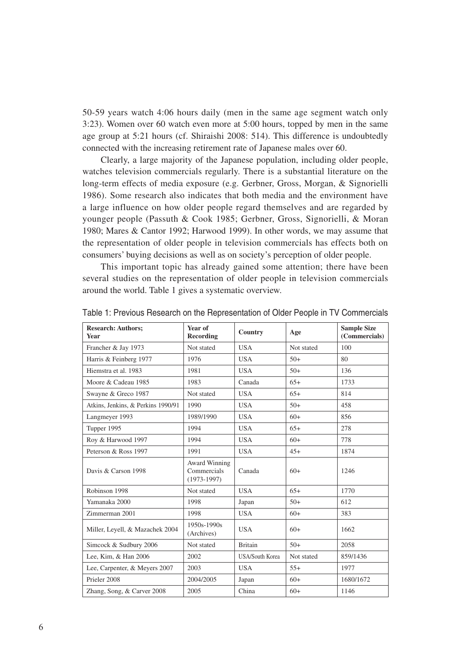50-59 years watch 4:06 hours daily (men in the same age segment watch only 3:23). Women over 60 watch even more at 5:00 hours, topped by men in the same age group at 5:21 hours (cf. Shiraishi 2008: 514). This difference is undoubtedly connected with the increasing retirement rate of Japanese males over 60.

Clearly, a large majority of the Japanese population, including older people, watches television commercials regularly. There is a substantial literature on the long-term effects of media exposure (e.g. Gerbner, Gross, Morgan, & Signorielli 1986). Some research also indicates that both media and the environment have a large influence on how older people regard themselves and are regarded by younger people (Passuth & Cook 1985; Gerbner, Gross, Signorielli, & Moran 1980; Mares & Cantor 1992; Harwood 1999). In other words, we may assume that the representation of older people in television commercials has effects both on consumers' buying decisions as well as on society's perception of older people.

This important topic has already gained some attention; there have been several studies on the representation of older people in television commercials around the world. Table 1 gives a systematic overview.

| <b>Research: Authors;</b><br><b>Year</b> | Year of<br>Recording                                 | Country                | Age        | <b>Sample Size</b><br>(Commercials) |
|------------------------------------------|------------------------------------------------------|------------------------|------------|-------------------------------------|
| Francher & Jay 1973                      | Not stated                                           | <b>USA</b>             | Not stated | 100                                 |
| Harris & Feinberg 1977                   | 1976                                                 | <b>USA</b>             | $50+$      | 80                                  |
| Hiemstra et al. 1983                     | 1981                                                 | <b>USA</b>             | $50+$      | 136                                 |
| Moore & Cadeau 1985                      | 1983                                                 | Canada                 | $65+$      | 1733                                |
| Swayne & Greco 1987                      | Not stated                                           | <b>USA</b>             | $65+$      | 814                                 |
| Atkins, Jenkins, & Perkins 1990/91       | 1990                                                 | <b>USA</b>             | $50+$      | 458                                 |
| Langmeyer 1993                           | 1989/1990                                            | <b>USA</b>             | $60+$      | 856                                 |
| Tupper 1995                              | 1994                                                 | <b>USA</b>             | $65+$      | 278                                 |
| Roy & Harwood 1997                       | 1994                                                 | <b>USA</b>             | $60+$      | 778                                 |
| Peterson & Ross 1997                     | 1991                                                 | <b>USA</b>             | $45+$      | 1874                                |
| Davis & Carson 1998                      | <b>Award Winning</b><br>Commercials<br>$(1973-1997)$ | Canada                 | $60+$      | 1246                                |
| Robinson 1998                            | Not stated                                           | <b>USA</b>             | $65+$      | 1770                                |
| Yamanaka 2000                            | 1998                                                 | Japan                  | $50+$      | 612                                 |
| Zimmerman 2001                           | 1998                                                 | <b>USA</b>             | $60+$      | 383                                 |
| Miller, Leyell, & Mazachek 2004          | $1950s - 1990s$<br>(Archives)                        | <b>USA</b>             | $60+$      | 1662                                |
| Simcock & Sudbury 2006                   | Not stated                                           | <b>Britain</b>         | $50+$      | 2058                                |
| Lee, Kim, & Han 2006                     | 2002                                                 | <b>USA/South Korea</b> | Not stated | 859/1436                            |
| Lee, Carpenter, & Meyers 2007            | 2003                                                 | <b>USA</b>             | $55+$      | 1977                                |
| Prieler 2008                             | 2004/2005                                            | Japan                  | $60+$      | 1680/1672                           |
| Zhang, Song, & Carver 2008               | 2005                                                 | China                  | $60+$      | 1146                                |

Table 1: Previous Research on the Representation of Older People in TV Commercials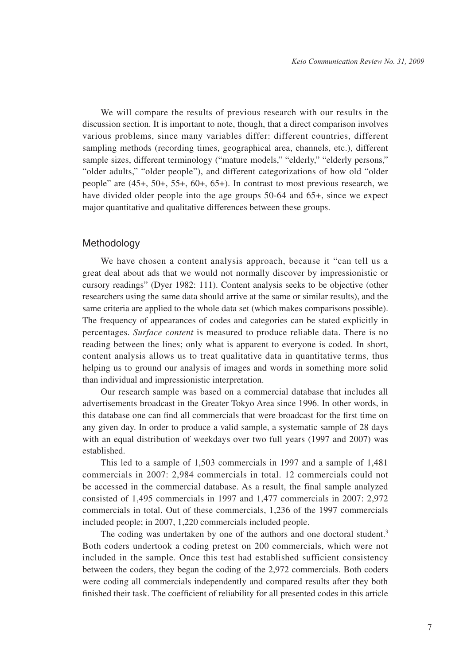We will compare the results of previous research with our results in the discussion section. It is important to note, though, that a direct comparison involves various problems, since many variables differ: different countries, different sampling methods (recording times, geographical area, channels, etc.), different sample sizes, different terminology ("mature models," "elderly," "elderly persons," "older adults," "older people"), and different categorizations of how old "older people" are (45+, 50+, 55+, 60+, 65+). In contrast to most previous research, we have divided older people into the age groups 50-64 and 65+, since we expect major quantitative and qualitative differences between these groups.

#### Methodology

We have chosen a content analysis approach, because it "can tell us a great deal about ads that we would not normally discover by impressionistic or cursory readings" (Dyer 1982: 111). Content analysis seeks to be objective (other researchers using the same data should arrive at the same or similar results), and the same criteria are applied to the whole data set (which makes comparisons possible). The frequency of appearances of codes and categories can be stated explicitly in percentages. *Surface content* is measured to produce reliable data. There is no reading between the lines; only what is apparent to everyone is coded. In short, content analysis allows us to treat qualitative data in quantitative terms, thus helping us to ground our analysis of images and words in something more solid than individual and impressionistic interpretation.

Our research sample was based on a commercial database that includes all advertisements broadcast in the Greater Tokyo Area since 1996. In other words, in this database one can find all commercials that were broadcast for the first time on any given day. In order to produce a valid sample, a systematic sample of 28 days with an equal distribution of weekdays over two full years (1997 and 2007) was established.

This led to a sample of 1,503 commercials in 1997 and a sample of 1,481 commercials in 2007: 2,984 commercials in total. 12 commercials could not be accessed in the commercial database. As a result, the final sample analyzed consisted of 1,495 commercials in 1997 and 1,477 commercials in 2007: 2,972 commercials in total. Out of these commercials, 1,236 of the 1997 commercials included people; in 2007, 1,220 commercials included people.

The coding was undertaken by one of the authors and one doctoral student.<sup>3</sup> Both coders undertook a coding pretest on 200 commercials, which were not included in the sample. Once this test had established sufficient consistency between the coders, they began the coding of the 2,972 commercials. Both coders were coding all commercials independently and compared results after they both finished their task. The coefficient of reliability for all presented codes in this article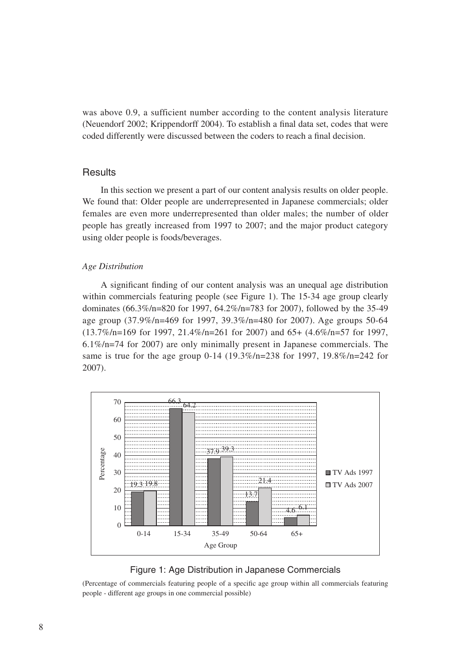was above 0.9, a sufficient number according to the content analysis literature (Neuendorf 2002; Krippendorff 2004). To establish a final data set, codes that were coded differently were discussed between the coders to reach a final decision.

## **Results**

In this section we present a part of our content analysis results on older people. We found that: Older people are underrepresented in Japanese commercials; older females are even more underrepresented than older males; the number of older people has greatly increased from 1997 to 2007; and the major product category using older people is foods/beverages.

#### *Age Distribution*

A significant finding of our content analysis was an unequal age distribution within commercials featuring people (see Figure 1). The 15-34 age group clearly dominates (66.3%/n=820 for 1997, 64.2%/n=783 for 2007), followed by the 35-49 age group (37.9%/n=469 for 1997, 39.3%/n=480 for 2007). Age groups 50-64 (13.7%/n=169 for 1997, 21.4%/n=261 for 2007) and 65+ (4.6%/n=57 for 1997, 6.1%/n=74 for 2007) are only minimally present in Japanese commercials. The same is true for the age group 0-14 (19.3%/n=238 for 1997, 19.8%/n=242 for 2007).





(Percentage of commercials featuring people of a specific age group within all commercials featuring people - different age groups in one commercial possible)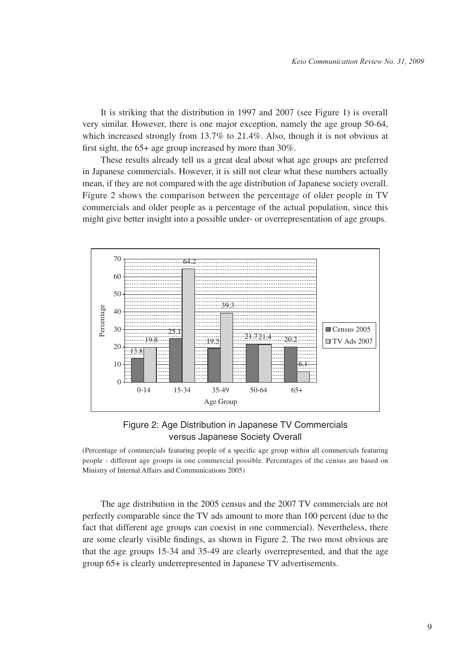It is striking that the distribution in 1997 and 2007 (see Figure 1) is overall very similar. However, there is one major exception, namely the age group 50-64, which increased strongly from 13.7% to 21.4%. Also, though it is not obvious at first sight, the 65+ age group increased by more than 30%.

These results already tell us a great deal about what age groups are preferred in Japanese commercials. However, it is still not clear what these numbers actually mean, if they are not compared with the age distribution of Japanese society overall. Figure 2 shows the comparison between the percentage of older people in TV commercials and older people as a percentage of the actual population, since this might give better insight into a possible under- or overrepresentation of age groups.



## Figure 2: Age Distribution in Japanese TV Commercials versus Japanese Society Overall

(Percentage of commercials featuring people of a specific age group within all commercials featuring people - different age groups in one commercial possible. Percentages of the census are based on Ministry of Internal Affairs and Communications 2005)

The age distribution in the 2005 census and the 2007 TV commercials are not perfectly comparable since the TV ads amount to more than 100 percent (due to the fact that different age groups can coexist in one commercial). Nevertheless, there are some clearly visible findings, as shown in Figure 2. The two most obvious are that the age groups 15-34 and 35-49 are clearly overrepresented, and that the age group 65+ is clearly underrepresented in Japanese TV advertisements.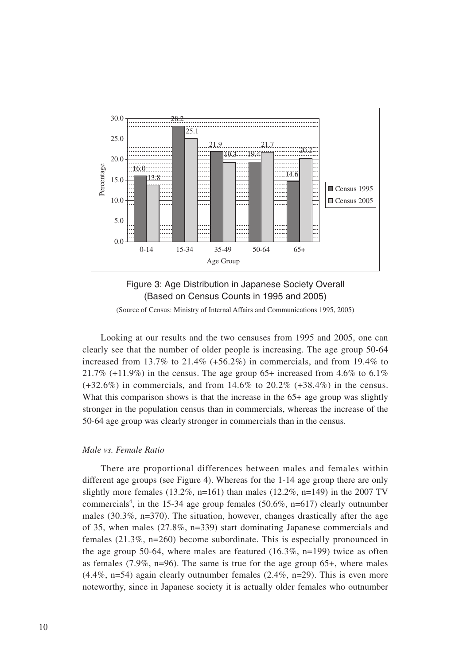



(Source of Census: Ministry of Internal Affairs and Communications 1995, 2005)

Looking at our results and the two censuses from 1995 and 2005, one can clearly see that the number of older people is increasing. The age group 50-64 increased from  $13.7\%$  to  $21.4\%$  (+56.2%) in commercials, and from  $19.4\%$  to 21.7% (+11.9%) in the census. The age group 65+ increased from 4.6% to 6.1%  $(+32.6\%)$  in commercials, and from  $14.6\%$  to  $20.2\%$   $(+38.4\%)$  in the census. What this comparison shows is that the increase in the 65+ age group was slightly stronger in the population census than in commercials, whereas the increase of the 50-64 age group was clearly stronger in commercials than in the census.

#### *Male vs. Female Ratio*

There are proportional differences between males and females within different age groups (see Figure 4). Whereas for the 1-14 age group there are only slightly more females (13.2%, n=161) than males (12.2%, n=149) in the 2007 TV commercials<sup>4</sup>, in the 15-34 age group females  $(50.6\%, n=617)$  clearly outnumber males  $(30.3\%, n=370)$ . The situation, however, changes drastically after the age of 35, when males (27.8%, n=339) start dominating Japanese commercials and females (21.3%, n=260) become subordinate. This is especially pronounced in the age group 50-64, where males are featured  $(16.3\%, n=199)$  twice as often as females  $(7.9\%, n=96)$ . The same is true for the age group 65+, where males  $(4.4\%, n=54)$  again clearly outnumber females  $(2.4\%, n=29)$ . This is even more noteworthy, since in Japanese society it is actually older females who outnumber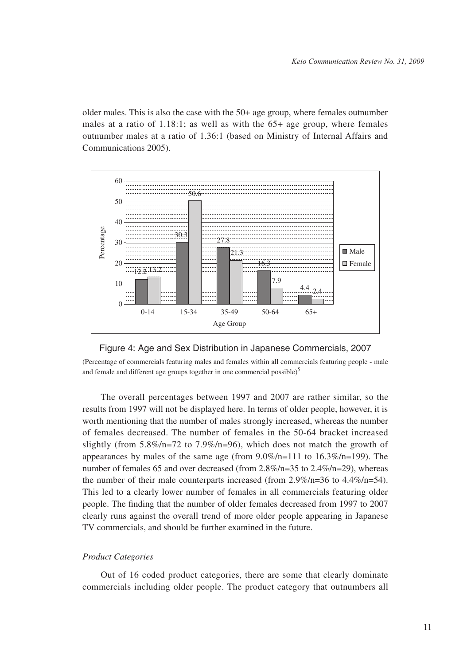older males. This is also the case with the 50+ age group, where females outnumber males at a ratio of 1.18:1; as well as with the 65+ age group, where females outnumber males at a ratio of 1.36:1 (based on Ministry of Internal Affairs and Communications 2005).





(Percentage of commercials featuring males and females within all commercials featuring people - male and female and different age groups together in one commercial possible) $<sup>5</sup>$ </sup>

The overall percentages between 1997 and 2007 are rather similar, so the results from 1997 will not be displayed here. In terms of older people, however, it is worth mentioning that the number of males strongly increased, whereas the number of females decreased. The number of females in the 50-64 bracket increased slightly (from  $5.8\%/n=72$  to  $7.9\%/n=96$ ), which does not match the growth of appearances by males of the same age (from 9.0%/n=111 to 16.3%/n=199). The number of females 65 and over decreased (from 2.8%/n=35 to 2.4%/n=29), whereas the number of their male counterparts increased (from  $2.9\%/n=36$  to  $4.4\%/n=54$ ). This led to a clearly lower number of females in all commercials featuring older people. The finding that the number of older females decreased from 1997 to 2007 clearly runs against the overall trend of more older people appearing in Japanese TV commercials, and should be further examined in the future.

#### *Product Categories*

Out of 16 coded product categories, there are some that clearly dominate commercials including older people. The product category that outnumbers all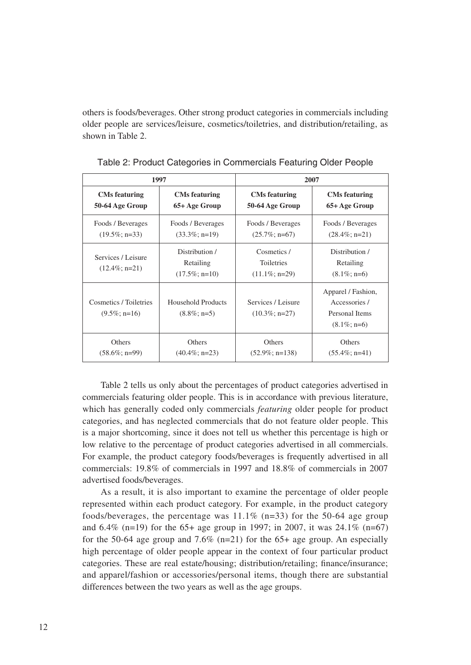others is foods/beverages. Other strong product categories in commercials including older people are services/leisure, cosmetics/toiletries, and distribution/retailing, as shown in Table 2.

| 1997                                      |                                                                                       | 2007                                                 |                                                                         |  |
|-------------------------------------------|---------------------------------------------------------------------------------------|------------------------------------------------------|-------------------------------------------------------------------------|--|
| <b>CMs</b> featuring                      | <b>CMs</b> featuring                                                                  | <b>CMs featuring</b>                                 | <b>CMs featuring</b>                                                    |  |
| 50-64 Age Group                           | 65+ Age Group                                                                         | 50-64 Age Group                                      | 65+ Age Group                                                           |  |
| Foods / Beverages                         | Foods / Beverages                                                                     | Foods / Beverages                                    | Foods / Beverages                                                       |  |
| $(19.5\%; n=33)$                          | $(33.3\%; n=19)$                                                                      | $(25.7\%; n=67)$                                     | $(28.4\%; n=21)$                                                        |  |
| Services / Leisure<br>$(12.4\%; n=21)$    | Distribution /<br>Retailing<br>$(17.5\%; n=10)$                                       | Cosmetics /<br><b>Toiletries</b><br>$(11.1\%; n=29)$ | Distribution /<br>Retailing<br>$(8.1\%; n=6)$                           |  |
| Cosmetics / Toiletries<br>$(9.5\%; n=16)$ | <b>Household Products</b><br>Services / Leisure<br>$(8.8\%; n=5)$<br>$(10.3\%; n=27)$ |                                                      | Apparel / Fashion,<br>Accessories /<br>Personal Items<br>$(8.1\%; n=6)$ |  |
| Others                                    | Others                                                                                | <b>Others</b>                                        | Others                                                                  |  |
| $(58.6\%; n=99)$                          | $(40.4\%; n=23)$                                                                      | $(52.9\%; n=138)$                                    | $(55.4\%; n=41)$                                                        |  |

Table 2: Product Categories in Commercials Featuring Older People

Table 2 tells us only about the percentages of product categories advertised in commercials featuring older people. This is in accordance with previous literature, which has generally coded only commercials *featuring* older people for product categories, and has neglected commercials that do not feature older people. This is a major shortcoming, since it does not tell us whether this percentage is high or low relative to the percentage of product categories advertised in all commercials. For example, the product category foods/beverages is frequently advertised in all commercials: 19.8% of commercials in 1997 and 18.8% of commercials in 2007 advertised foods/beverages.

As a result, it is also important to examine the percentage of older people represented within each product category. For example, in the product category foods/beverages, the percentage was  $11.1\%$  (n=33) for the 50-64 age group and  $6.4\%$  (n=19) for the 65+ age group in 1997; in 2007, it was 24.1% (n=67) for the 50-64 age group and 7.6%  $(n=21)$  for the 65+ age group. An especially high percentage of older people appear in the context of four particular product categories. These are real estate/housing; distribution/retailing; finance/insurance; and apparel/fashion or accessories/personal items, though there are substantial differences between the two years as well as the age groups.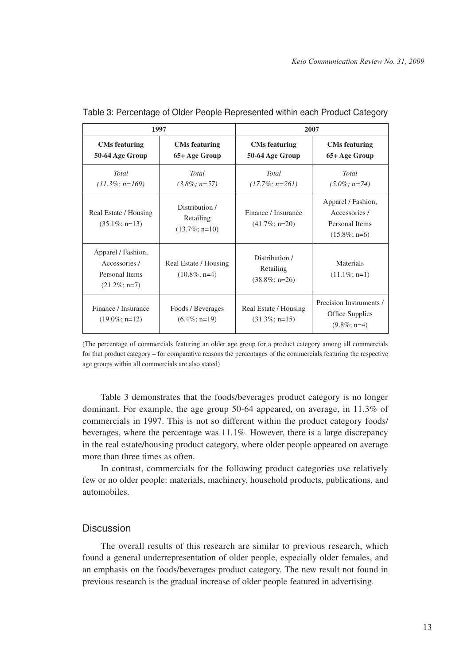| 1997                                                                     |                                                 | 2007                                            |                                                                          |  |
|--------------------------------------------------------------------------|-------------------------------------------------|-------------------------------------------------|--------------------------------------------------------------------------|--|
| <b>CMs</b> featuring<br>50-64 Age Group                                  | <b>CMs</b> featuring<br>65+ Age Group           | <b>CMs</b> featuring<br>50-64 Age Group         | <b>CMs</b> featuring<br>65+ Age Group                                    |  |
| Total<br>$(11.3\%; n=169)$                                               | Total<br>$(3.8\%; n=57)$                        | Total<br>$(17.7\%; n=261)$                      | <b>Total</b><br>$(5.0\%; n=74)$                                          |  |
| Real Estate / Housing<br>$(35.1\%; n=13)$                                | Distribution /<br>Retailing<br>$(13.7\%; n=10)$ | Finance / Insurance<br>$(41.7\%; n=20)$         | Apparel / Fashion,<br>Accessories /<br>Personal Items<br>$(15.8\%; n=6)$ |  |
| Apparel / Fashion,<br>Accessories /<br>Personal Items<br>$(21.2\%; n=7)$ | Real Estate / Housing<br>$(10.8\%; n=4)$        | Distribution /<br>Retailing<br>$(38.8\%; n=26)$ | Materials<br>$(11.1\%; n=1)$                                             |  |
| Finance / Insurance<br>$(19.0\%; n=12)$                                  | Foods / Beverages<br>$(6.4\%; n=19)$            | Real Estate / Housing<br>$(31.3\%; n=15)$       | Precision Instruments /<br>Office Supplies<br>$(9.8\%; n=4)$             |  |

| Table 3: Percentage of Older People Represented within each Product Category |  |  |  |
|------------------------------------------------------------------------------|--|--|--|
|                                                                              |  |  |  |

(The percentage of commercials featuring an older age group for a product category among all commercials for that product category – for comparative reasons the percentages of the commercials featuring the respective age groups within all commercials are also stated)

Table 3 demonstrates that the foods/beverages product category is no longer dominant. For example, the age group 50-64 appeared, on average, in 11.3% of commercials in 1997. This is not so different within the product category foods/ beverages, where the percentage was 11.1%. However, there is a large discrepancy in the real estate/housing product category, where older people appeared on average more than three times as often.

In contrast, commercials for the following product categories use relatively few or no older people: materials, machinery, household products, publications, and automobiles.

## **Discussion**

The overall results of this research are similar to previous research, which found a general underrepresentation of older people, especially older females, and an emphasis on the foods/beverages product category. The new result not found in previous research is the gradual increase of older people featured in advertising.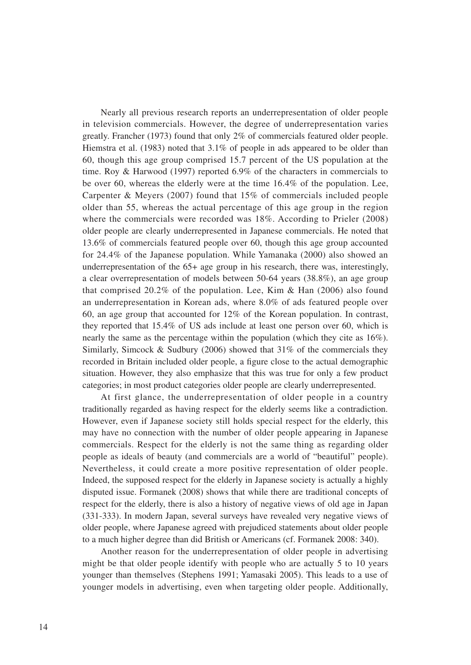Nearly all previous research reports an underrepresentation of older people in television commercials. However, the degree of underrepresentation varies greatly. Francher (1973) found that only 2% of commercials featured older people. Hiemstra et al. (1983) noted that 3.1% of people in ads appeared to be older than 60, though this age group comprised 15.7 percent of the US population at the time. Roy & Harwood (1997) reported 6.9% of the characters in commercials to be over 60, whereas the elderly were at the time 16.4% of the population. Lee, Carpenter & Meyers (2007) found that 15% of commercials included people older than 55, whereas the actual percentage of this age group in the region where the commercials were recorded was 18%. According to Prieler (2008) older people are clearly underrepresented in Japanese commercials. He noted that 13.6% of commercials featured people over 60, though this age group accounted for 24.4% of the Japanese population. While Yamanaka (2000) also showed an underrepresentation of the 65+ age group in his research, there was, interestingly, a clear overrepresentation of models between 50-64 years (38.8%), an age group that comprised 20.2% of the population. Lee, Kim & Han (2006) also found an underrepresentation in Korean ads, where 8.0% of ads featured people over 60, an age group that accounted for 12% of the Korean population. In contrast, they reported that 15.4% of US ads include at least one person over 60, which is nearly the same as the percentage within the population (which they cite as 16%). Similarly, Simcock & Sudbury (2006) showed that  $31\%$  of the commercials they recorded in Britain included older people, a figure close to the actual demographic situation. However, they also emphasize that this was true for only a few product categories; in most product categories older people are clearly underrepresented.

At first glance, the underrepresentation of older people in a country traditionally regarded as having respect for the elderly seems like a contradiction. However, even if Japanese society still holds special respect for the elderly, this may have no connection with the number of older people appearing in Japanese commercials. Respect for the elderly is not the same thing as regarding older people as ideals of beauty (and commercials are a world of "beautiful" people). Nevertheless, it could create a more positive representation of older people. Indeed, the supposed respect for the elderly in Japanese society is actually a highly disputed issue. Formanek (2008) shows that while there are traditional concepts of respect for the elderly, there is also a history of negative views of old age in Japan (331-333). In modern Japan, several surveys have revealed very negative views of older people, where Japanese agreed with prejudiced statements about older people to a much higher degree than did British or Americans (cf. Formanek 2008: 340).

Another reason for the underrepresentation of older people in advertising might be that older people identify with people who are actually 5 to 10 years younger than themselves (Stephens 1991; Yamasaki 2005). This leads to a use of younger models in advertising, even when targeting older people. Additionally,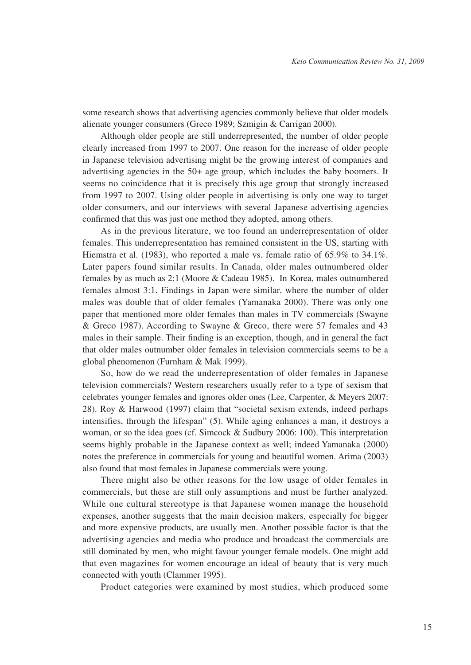some research shows that advertising agencies commonly believe that older models alienate younger consumers (Greco 1989; Szmigin & Carrigan 2000).

Although older people are still underrepresented, the number of older people clearly increased from 1997 to 2007. One reason for the increase of older people in Japanese television advertising might be the growing interest of companies and advertising agencies in the 50+ age group, which includes the baby boomers. It seems no coincidence that it is precisely this age group that strongly increased from 1997 to 2007. Using older people in advertising is only one way to target older consumers, and our interviews with several Japanese advertising agencies confirmed that this was just one method they adopted, among others.

As in the previous literature, we too found an underrepresentation of older females. This underrepresentation has remained consistent in the US, starting with Hiemstra et al. (1983), who reported a male vs. female ratio of 65.9% to 34.1%. Later papers found similar results. In Canada, older males outnumbered older females by as much as 2:1 (Moore & Cadeau 1985). In Korea, males outnumbered females almost 3:1. Findings in Japan were similar, where the number of older males was double that of older females (Yamanaka 2000). There was only one paper that mentioned more older females than males in TV commercials (Swayne & Greco 1987). According to Swayne & Greco, there were 57 females and 43 males in their sample. Their finding is an exception, though, and in general the fact that older males outnumber older females in television commercials seems to be a global phenomenon (Furnham & Mak 1999).

So, how do we read the underrepresentation of older females in Japanese television commercials? Western researchers usually refer to a type of sexism that celebrates younger females and ignores older ones (Lee, Carpenter, & Meyers 2007: 28). Roy & Harwood (1997) claim that "societal sexism extends, indeed perhaps intensifies, through the lifespan" (5). While aging enhances a man, it destroys a woman, or so the idea goes (cf. Simcock & Sudbury 2006: 100). This interpretation seems highly probable in the Japanese context as well; indeed Yamanaka (2000) notes the preference in commercials for young and beautiful women. Arima (2003) also found that most females in Japanese commercials were young.

There might also be other reasons for the low usage of older females in commercials, but these are still only assumptions and must be further analyzed. While one cultural stereotype is that Japanese women manage the household expenses, another suggests that the main decision makers, especially for bigger and more expensive products, are usually men. Another possible factor is that the advertising agencies and media who produce and broadcast the commercials are still dominated by men, who might favour younger female models. One might add that even magazines for women encourage an ideal of beauty that is very much connected with youth (Clammer 1995).

Product categories were examined by most studies, which produced some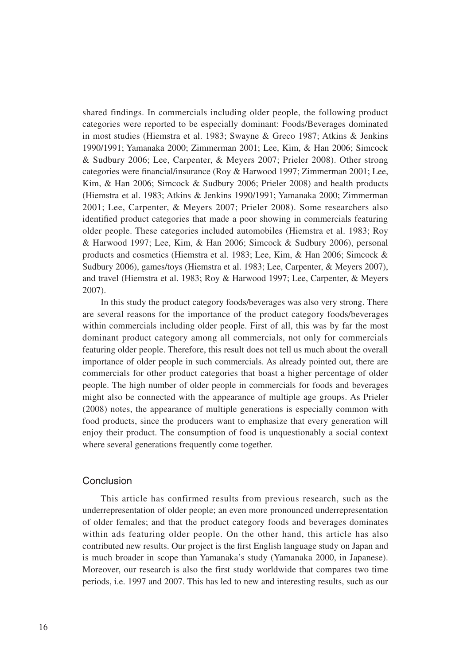shared findings. In commercials including older people, the following product categories were reported to be especially dominant: Foods/Beverages dominated in most studies (Hiemstra et al. 1983; Swayne & Greco 1987; Atkins & Jenkins 1990/1991; Yamanaka 2000; Zimmerman 2001; Lee, Kim, & Han 2006; Simcock & Sudbury 2006; Lee, Carpenter, & Meyers 2007; Prieler 2008). Other strong categories were financial/insurance (Roy & Harwood 1997; Zimmerman 2001; Lee, Kim, & Han 2006; Simcock & Sudbury 2006; Prieler 2008) and health products (Hiemstra et al. 1983; Atkins & Jenkins 1990/1991; Yamanaka 2000; Zimmerman 2001; Lee, Carpenter, & Meyers 2007; Prieler 2008). Some researchers also identified product categories that made a poor showing in commercials featuring older people. These categories included automobiles (Hiemstra et al. 1983; Roy & Harwood 1997; Lee, Kim, & Han 2006; Simcock & Sudbury 2006), personal products and cosmetics (Hiemstra et al. 1983; Lee, Kim, & Han 2006; Simcock & Sudbury 2006), games/toys (Hiemstra et al. 1983; Lee, Carpenter, & Meyers 2007), and travel (Hiemstra et al. 1983; Roy & Harwood 1997; Lee, Carpenter, & Meyers 2007).

In this study the product category foods/beverages was also very strong. There are several reasons for the importance of the product category foods/beverages within commercials including older people. First of all, this was by far the most dominant product category among all commercials, not only for commercials featuring older people. Therefore, this result does not tell us much about the overall importance of older people in such commercials. As already pointed out, there are commercials for other product categories that boast a higher percentage of older people. The high number of older people in commercials for foods and beverages might also be connected with the appearance of multiple age groups. As Prieler (2008) notes, the appearance of multiple generations is especially common with food products, since the producers want to emphasize that every generation will enjoy their product. The consumption of food is unquestionably a social context where several generations frequently come together.

#### Conclusion

This article has confirmed results from previous research, such as the underrepresentation of older people; an even more pronounced underrepresentation of older females; and that the product category foods and beverages dominates within ads featuring older people. On the other hand, this article has also contributed new results. Our project is the first English language study on Japan and is much broader in scope than Yamanaka's study (Yamanaka 2000, in Japanese). Moreover, our research is also the first study worldwide that compares two time periods, i.e. 1997 and 2007. This has led to new and interesting results, such as our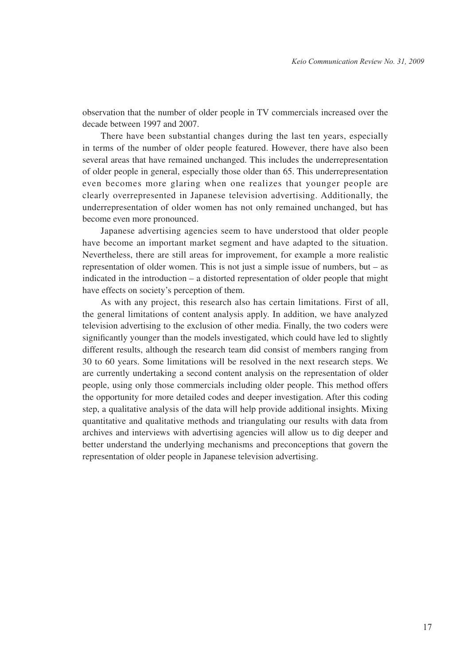observation that the number of older people in TV commercials increased over the decade between 1997 and 2007.

There have been substantial changes during the last ten years, especially in terms of the number of older people featured. However, there have also been several areas that have remained unchanged. This includes the underrepresentation of older people in general, especially those older than 65. This underrepresentation even becomes more glaring when one realizes that younger people are clearly overrepresented in Japanese television advertising. Additionally, the underrepresentation of older women has not only remained unchanged, but has become even more pronounced.

Japanese advertising agencies seem to have understood that older people have become an important market segment and have adapted to the situation. Nevertheless, there are still areas for improvement, for example a more realistic representation of older women. This is not just a simple issue of numbers, but – as indicated in the introduction – a distorted representation of older people that might have effects on society's perception of them.

As with any project, this research also has certain limitations. First of all, the general limitations of content analysis apply. In addition, we have analyzed television advertising to the exclusion of other media. Finally, the two coders were significantly younger than the models investigated, which could have led to slightly different results, although the research team did consist of members ranging from 30 to 60 years. Some limitations will be resolved in the next research steps. We are currently undertaking a second content analysis on the representation of older people, using only those commercials including older people. This method offers the opportunity for more detailed codes and deeper investigation. After this coding step, a qualitative analysis of the data will help provide additional insights. Mixing quantitative and qualitative methods and triangulating our results with data from archives and interviews with advertising agencies will allow us to dig deeper and better understand the underlying mechanisms and preconceptions that govern the representation of older people in Japanese television advertising.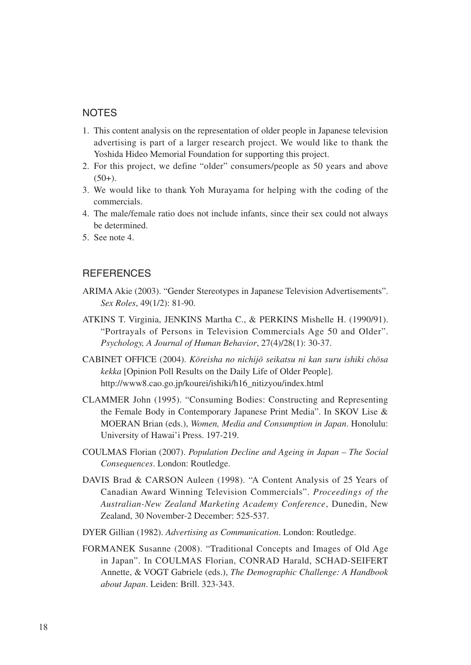## **NOTES**

- 1. This content analysis on the representation of older people in Japanese television advertising is part of a larger research project. We would like to thank the Yoshida Hideo Memorial Foundation for supporting this project.
- 2. For this project, we define "older" consumers/people as 50 years and above  $(50+)$ .
- 3. We would like to thank Yoh Murayama for helping with the coding of the commercials.
- 4. The male/female ratio does not include infants, since their sex could not always be determined.
- 5. See note 4.

## **REFERENCES**

- ARIMA Akie (2003). "Gender Stereotypes in Japanese Television Advertisements". *Sex Roles*, 49(1/2): 81-90.
- ATKINS T. Virginia, JENKINS Martha C., & PERKINS Mishelle H. (1990/91). "Portrayals of Persons in Television Commercials Age 50 and Older". *Psychology, A Journal of Human Behavior*, 27(4)/28(1): 30-37.
- CABINET OFFICE (2004). *Ko - reisha no nichijo - seikatsu ni kan suru ishiki cho - sa kekka* [Opinion Poll Results on the Daily Life of Older People]. http://www8.cao.go.jp/kourei/ishiki/h16\_nitizyou/index.html
- CLAMMER John (1995). "Consuming Bodies: Constructing and Representing the Female Body in Contemporary Japanese Print Media". In SKOV Lise & MOERAN Brian (eds.), *Women, Media and Consumption in Japan*. Honolulu: University of Hawai'i Press. 197-219.
- COULMAS Florian (2007). *Population Decline and Ageing in Japan The Social Consequences*. London: Routledge.
- DAVIS Brad & CARSON Auleen (1998). "A Content Analysis of 25 Years of Canadian Award Winning Television Commercials". *Proceedings of the Australian-New Zealand Marketing Academy Conference*, Dunedin, New Zealand, 30 November-2 December: 525-537.
- DYER Gillian (1982). *Advertising as Communication*. London: Routledge.
- FORMANEK Susanne (2008). "Traditional Concepts and Images of Old Age in Japan". In COULMAS Florian, CONRAD Harald, SCHAD-SEIFERT Annette, & VOGT Gabriele (eds.), *The Demographic Challenge: A Handbook about Japan*. Leiden: Brill. 323-343.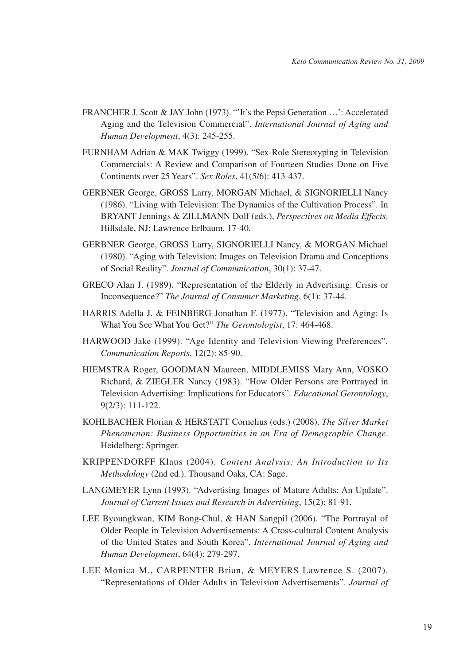- FRANCHER J. Scott & JAY John (1973). "'It's the Pepsi Generation …': Accelerated Aging and the Television Commercial". *International Journal of Aging and Human Development*, 4(3): 245-255.
- FURNHAM Adrian & MAK Twiggy (1999). "Sex-Role Stereotyping in Television Commercials: A Review and Comparison of Fourteen Studies Done on Five Continents over 25 Years". *Sex Roles*, 41(5/6): 413-437.
- GERBNER George, GROSS Larry, MORGAN Michael, & SIGNORIELLI Nancy (1986). "Living with Television: The Dynamics of the Cultivation Process". In BRYANT Jennings & ZILLMANN Dolf (eds.), *Perspectives on Media Effects*. Hillsdale, NJ: Lawrence Erlbaum. 17-40.
- GERBNER George, GROSS Larry, SIGNORIELLI Nancy, & MORGAN Michael (1980). "Aging with Television: Images on Television Drama and Conceptions of Social Reality". *Journal of Communication*, 30(1): 37-47.
- GRECO Alan J. (1989). "Representation of the Elderly in Advertising: Crisis or Inconsequence?" *The Journal of Consumer Marketing*, 6(1): 37-44.
- HARRIS Adella J. & FEINBERG Jonathan F. (1977). "Television and Aging: Is What You See What You Get?" *The Gerontologist*, 17: 464-468.
- HARWOOD Jake (1999). "Age Identity and Television Viewing Preferences". *Communication Reports*, 12(2): 85-90.
- HIEMSTRA Roger, GOODMAN Maureen, MIDDLEMISS Mary Ann, VOSKO Richard, & ZIEGLER Nancy (1983). "How Older Persons are Portrayed in Television Advertising: Implications for Educators". *Educational Gerontology*, 9(2/3): 111-122.
- KOHLBACHER Florian & HERSTATT Cornelius (eds.) (2008). *The Silver Market Phenomenon: Business Opportunities in an Era of Demographic Change*. Heidelberg: Springer.
- KRIPPENDORFF Klaus (2004). *Content Analysis: An Introduction to Its Methodology* (2nd ed.). Thousand Oaks, CA: Sage.
- LANGMEYER Lynn (1993). "Advertising Images of Mature Adults: An Update". *Journal of Current Issues and Research in Advertising*, 15(2): 81-91.
- LEE Byoungkwan, KIM Bong-Chul, & HAN Sangpil (2006). "The Portrayal of Older People in Television Advertisements: A Cross-cultural Content Analysis of the United States and South Korea". *International Journal of Aging and Human Development*, 64(4): 279-297.
- LEE Monica M., CARPENTER Brian, & MEYERS Lawrence S. (2007). "Representations of Older Adults in Television Advertisements". *Journal of*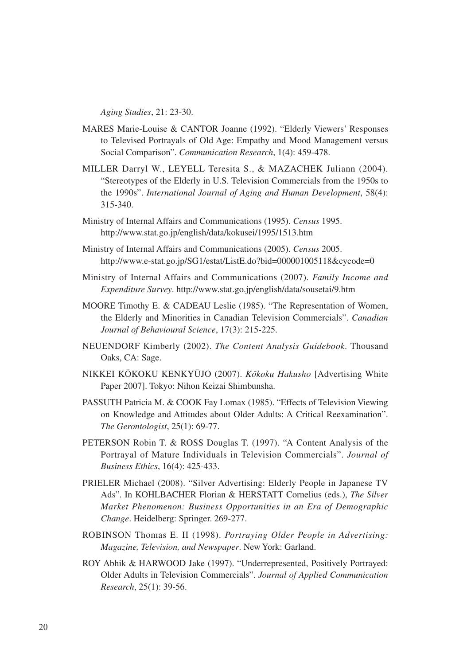*Aging Studies*, 21: 23-30.

- MARES Marie-Louise & CANTOR Joanne (1992). "Elderly Viewers' Responses to Televised Portrayals of Old Age: Empathy and Mood Management versus Social Comparison". *Communication Research*, 1(4): 459-478.
- MILLER Darryl W., LEYELL Teresita S., & MAZACHEK Juliann (2004). "Stereotypes of the Elderly in U.S. Television Commercials from the 1950s to the 1990s". *International Journal of Aging and Human Development*, 58(4): 315-340.
- Ministry of Internal Affairs and Communications (1995). *Census* 1995. http://www.stat.go.jp/english/data/kokusei/1995/1513.htm
- Ministry of Internal Affairs and Communications (2005). *Census* 2005. http://www.e-stat.go.jp/SG1/estat/ListE.do?bid=000001005118&cycode=0
- Ministry of Internal Affairs and Communications (2007). *Family Income and Expenditure Survey*. http://www.stat.go.jp/english/data/sousetai/9.htm
- MOORE Timothy E. & CADEAU Leslie (1985). "The Representation of Women, the Elderly and Minorities in Canadian Television Commercials". *Canadian Journal of Behavioural Science*, 17(3): 215-225.
- NEUENDORF Kimberly (2002). *The Content Analysis Guidebook*. Thousand Oaks, CA: Sage.
- NIKKEI KO KOKU KENKYU JO (2007). *Ko - koku Hakusho* [Advertising White Paper 2007]. Tokyo: Nihon Keizai Shimbunsha.
- PASSUTH Patricia M. & COOK Fay Lomax (1985). "Effects of Television Viewing on Knowledge and Attitudes about Older Adults: A Critical Reexamination". *The Gerontologist*, 25(1): 69-77.
- PETERSON Robin T. & ROSS Douglas T. (1997). "A Content Analysis of the Portrayal of Mature Individuals in Television Commercials". *Journal of Business Ethics*, 16(4): 425-433.
- PRIELER Michael (2008). "Silver Advertising: Elderly People in Japanese TV Ads". In KOHLBACHER Florian & HERSTATT Cornelius (eds.), *The Silver Market Phenomenon: Business Opportunities in an Era of Demographic Change*. Heidelberg: Springer. 269-277.
- ROBINSON Thomas E. II (1998). *Portraying Older People in Advertising: Magazine, Television, and Newspaper*. New York: Garland.
- ROY Abhik & HARWOOD Jake (1997). "Underrepresented, Positively Portrayed: Older Adults in Television Commercials". *Journal of Applied Communication Research*, 25(1): 39-56.